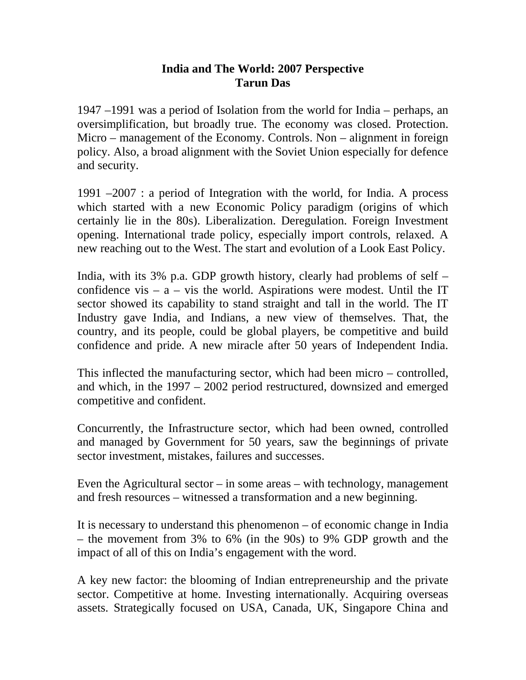## **India and The World: 2007 Perspective Tarun Das**

1947 –1991 was a period of Isolation from the world for India – perhaps, an oversimplification, but broadly true. The economy was closed. Protection. Micro – management of the Economy. Controls. Non – alignment in foreign policy. Also, a broad alignment with the Soviet Union especially for defence and security.

1991 –2007 : a period of Integration with the world, for India. A process which started with a new Economic Policy paradigm (origins of which certainly lie in the 80s). Liberalization. Deregulation. Foreign Investment opening. International trade policy, especially import controls, relaxed. A new reaching out to the West. The start and evolution of a Look East Policy.

India, with its 3% p.a. GDP growth history, clearly had problems of self – confidence vis –  $a$  – vis the world. Aspirations were modest. Until the IT sector showed its capability to stand straight and tall in the world. The IT Industry gave India, and Indians, a new view of themselves. That, the country, and its people, could be global players, be competitive and build confidence and pride. A new miracle after 50 years of Independent India.

This inflected the manufacturing sector, which had been micro – controlled, and which, in the 1997 – 2002 period restructured, downsized and emerged competitive and confident.

Concurrently, the Infrastructure sector, which had been owned, controlled and managed by Government for 50 years, saw the beginnings of private sector investment, mistakes, failures and successes.

Even the Agricultural sector – in some areas – with technology, management and fresh resources – witnessed a transformation and a new beginning.

It is necessary to understand this phenomenon – of economic change in India – the movement from 3% to 6% (in the 90s) to 9% GDP growth and the impact of all of this on India's engagement with the word.

A key new factor: the blooming of Indian entrepreneurship and the private sector. Competitive at home. Investing internationally. Acquiring overseas assets. Strategically focused on USA, Canada, UK, Singapore China and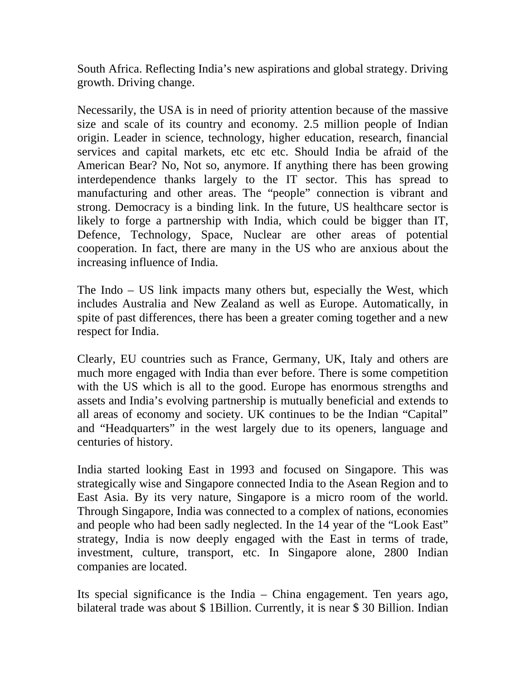South Africa. Reflecting India's new aspirations and global strategy. Driving growth. Driving change.

Necessarily, the USA is in need of priority attention because of the massive size and scale of its country and economy. 2.5 million people of Indian origin. Leader in science, technology, higher education, research, financial services and capital markets, etc etc etc. Should India be afraid of the American Bear? No, Not so, anymore. If anything there has been growing interdependence thanks largely to the IT sector. This has spread to manufacturing and other areas. The "people" connection is vibrant and strong. Democracy is a binding link. In the future, US healthcare sector is likely to forge a partnership with India, which could be bigger than IT, Defence, Technology, Space, Nuclear are other areas of potential cooperation. In fact, there are many in the US who are anxious about the increasing influence of India.

The Indo – US link impacts many others but, especially the West, which includes Australia and New Zealand as well as Europe. Automatically, in spite of past differences, there has been a greater coming together and a new respect for India.

Clearly, EU countries such as France, Germany, UK, Italy and others are much more engaged with India than ever before. There is some competition with the US which is all to the good. Europe has enormous strengths and assets and India's evolving partnership is mutually beneficial and extends to all areas of economy and society. UK continues to be the Indian "Capital" and "Headquarters" in the west largely due to its openers, language and centuries of history.

India started looking East in 1993 and focused on Singapore. This was strategically wise and Singapore connected India to the Asean Region and to East Asia. By its very nature, Singapore is a micro room of the world. Through Singapore, India was connected to a complex of nations, economies and people who had been sadly neglected. In the 14 year of the "Look East" strategy, India is now deeply engaged with the East in terms of trade, investment, culture, transport, etc. In Singapore alone, 2800 Indian companies are located.

Its special significance is the India – China engagement. Ten years ago, bilateral trade was about \$ 1Billion. Currently, it is near \$ 30 Billion. Indian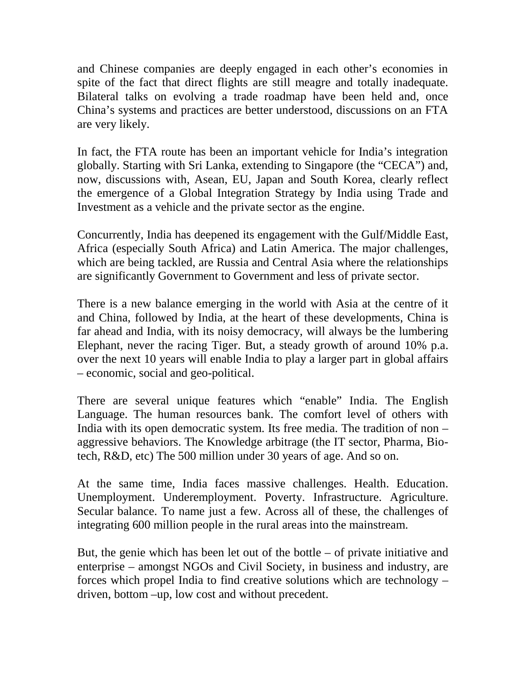and Chinese companies are deeply engaged in each other's economies in spite of the fact that direct flights are still meagre and totally inadequate. Bilateral talks on evolving a trade roadmap have been held and, once China's systems and practices are better understood, discussions on an FTA are very likely.

In fact, the FTA route has been an important vehicle for India's integration globally. Starting with Sri Lanka, extending to Singapore (the "CECA") and, now, discussions with, Asean, EU, Japan and South Korea, clearly reflect the emergence of a Global Integration Strategy by India using Trade and Investment as a vehicle and the private sector as the engine.

Concurrently, India has deepened its engagement with the Gulf/Middle East, Africa (especially South Africa) and Latin America. The major challenges, which are being tackled, are Russia and Central Asia where the relationships are significantly Government to Government and less of private sector.

There is a new balance emerging in the world with Asia at the centre of it and China, followed by India, at the heart of these developments, China is far ahead and India, with its noisy democracy, will always be the lumbering Elephant, never the racing Tiger. But, a steady growth of around 10% p.a. over the next 10 years will enable India to play a larger part in global affairs – economic, social and geo-political.

There are several unique features which "enable" India. The English Language. The human resources bank. The comfort level of others with India with its open democratic system. Its free media. The tradition of non – aggressive behaviors. The Knowledge arbitrage (the IT sector, Pharma, Biotech, R&D, etc) The 500 million under 30 years of age. And so on.

At the same time, India faces massive challenges. Health. Education. Unemployment. Underemployment. Poverty. Infrastructure. Agriculture. Secular balance. To name just a few. Across all of these, the challenges of integrating 600 million people in the rural areas into the mainstream.

But, the genie which has been let out of the bottle – of private initiative and enterprise – amongst NGOs and Civil Society, in business and industry, are forces which propel India to find creative solutions which are technology – driven, bottom –up, low cost and without precedent.